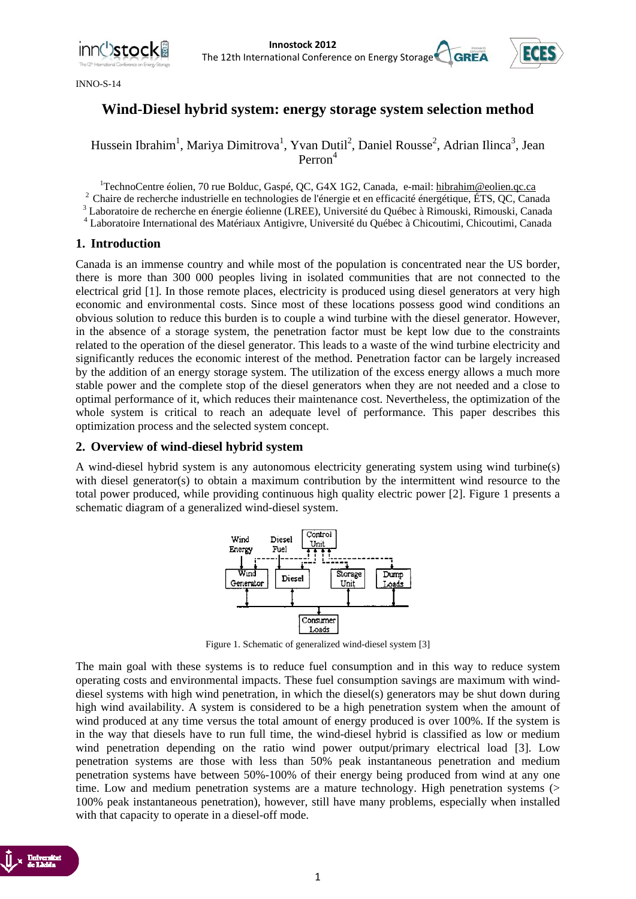

INNO-S-14



## **Wind-Diesel hybrid system: energy storage system selection method**

Hussein Ibrahim<sup>1</sup>, Mariya Dimitrova<sup>1</sup>, Yvan Dutil<sup>2</sup>, Daniel Rousse<sup>2</sup>, Adrian Ilinca<sup>3</sup>, Jean Perron<sup>4</sup>

<sup>1</sup>TechnoCentre éolien, 70 rue Bolduc, Gaspé, QC, G4X 1G2, Canada, e-mail: hibrahim@eolien.qc.ca

<sup>2</sup> Chaire de recherche industrielle en technologies de l'énergie et en efficacité énergétique, ÉTS, QC, Canada

Laboratoire de recherche en énergie éolienne (LREE), Université du Québec à Rimouski, Rimouski, Canada 4

Laboratoire International des Matériaux Antigivre, Université du Québec à Chicoutimi, Chicoutimi, Canada

#### **1. Introduction**

Canada is an immense country and while most of the population is concentrated near the US border, there is more than 300 000 peoples living in isolated communities that are not connected to the electrical grid [1]. In those remote places, electricity is produced using diesel generators at very high economic and environmental costs. Since most of these locations possess good wind conditions an obvious solution to reduce this burden is to couple a wind turbine with the diesel generator. However, in the absence of a storage system, the penetration factor must be kept low due to the constraints related to the operation of the diesel generator. This leads to a waste of the wind turbine electricity and significantly reduces the economic interest of the method. Penetration factor can be largely increased by the addition of an energy storage system. The utilization of the excess energy allows a much more stable power and the complete stop of the diesel generators when they are not needed and a close to optimal performance of it, which reduces their maintenance cost. Nevertheless, the optimization of the whole system is critical to reach an adequate level of performance. This paper describes this optimization process and the selected system concept.

#### **2. Overview of wind-diesel hybrid system**

A wind-diesel hybrid system is any autonomous electricity generating system using wind turbine(s) with diesel generator(s) to obtain a maximum contribution by the intermittent wind resource to the total power produced, while providing continuous high quality electric power [2]. Figure 1 presents a schematic diagram of a generalized wind-diesel system.



Figure 1. Schematic of generalized wind-diesel system [3]

The main goal with these systems is to reduce fuel consumption and in this way to reduce system operating costs and environmental impacts. These fuel consumption savings are maximum with winddiesel systems with high wind penetration, in which the diesel(s) generators may be shut down during high wind availability. A system is considered to be a high penetration system when the amount of wind produced at any time versus the total amount of energy produced is over 100%. If the system is in the way that diesels have to run full time, the wind-diesel hybrid is classified as low or medium wind penetration depending on the ratio wind power output/primary electrical load [3]. Low penetration systems are those with less than 50% peak instantaneous penetration and medium penetration systems have between 50%-100% of their energy being produced from wind at any one time. Low and medium penetration systems are a mature technology. High penetration systems (> 100% peak instantaneous penetration), however, still have many problems, especially when installed with that capacity to operate in a diesel-off mode.

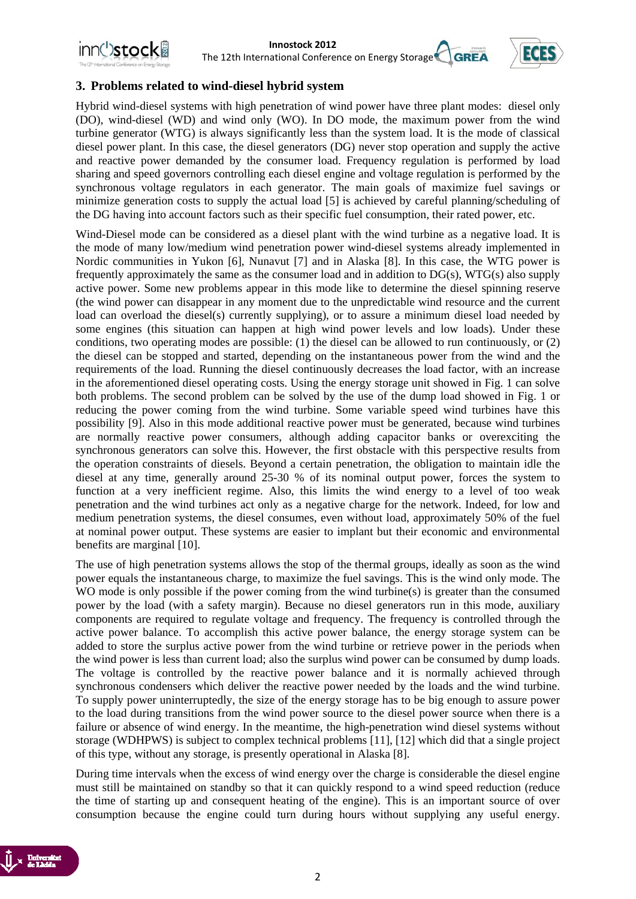



#### **3. Problems related to wind-diesel hybrid system**

Hybrid wind-diesel systems with high penetration of wind power have three plant modes: diesel only (DO), wind-diesel (WD) and wind only (WO). In DO mode, the maximum power from the wind turbine generator (WTG) is always significantly less than the system load. It is the mode of classical diesel power plant. In this case, the diesel generators (DG) never stop operation and supply the active and reactive power demanded by the consumer load. Frequency regulation is performed by load sharing and speed governors controlling each diesel engine and voltage regulation is performed by the synchronous voltage regulators in each generator. The main goals of maximize fuel savings or minimize generation costs to supply the actual load [5] is achieved by careful planning/scheduling of the DG having into account factors such as their specific fuel consumption, their rated power, etc.

Wind-Diesel mode can be considered as a diesel plant with the wind turbine as a negative load. It is the mode of many low/medium wind penetration power wind-diesel systems already implemented in Nordic communities in Yukon [6], Nunavut [7] and in Alaska [8]. In this case, the WTG power is frequently approximately the same as the consumer load and in addition to DG(s), WTG(s) also supply active power. Some new problems appear in this mode like to determine the diesel spinning reserve (the wind power can disappear in any moment due to the unpredictable wind resource and the current load can overload the diesel(s) currently supplying), or to assure a minimum diesel load needed by some engines (this situation can happen at high wind power levels and low loads). Under these conditions, two operating modes are possible: (1) the diesel can be allowed to run continuously, or (2) the diesel can be stopped and started, depending on the instantaneous power from the wind and the requirements of the load. Running the diesel continuously decreases the load factor, with an increase in the aforementioned diesel operating costs. Using the energy storage unit showed in Fig. 1 can solve both problems. The second problem can be solved by the use of the dump load showed in Fig. 1 or reducing the power coming from the wind turbine. Some variable speed wind turbines have this possibility [9]. Also in this mode additional reactive power must be generated, because wind turbines are normally reactive power consumers, although adding capacitor banks or overexciting the synchronous generators can solve this. However, the first obstacle with this perspective results from the operation constraints of diesels. Beyond a certain penetration, the obligation to maintain idle the diesel at any time, generally around 25-30 % of its nominal output power, forces the system to function at a very inefficient regime. Also, this limits the wind energy to a level of too weak penetration and the wind turbines act only as a negative charge for the network. Indeed, for low and medium penetration systems, the diesel consumes, even without load, approximately 50% of the fuel at nominal power output. These systems are easier to implant but their economic and environmental benefits are marginal [10].

The use of high penetration systems allows the stop of the thermal groups, ideally as soon as the wind power equals the instantaneous charge, to maximize the fuel savings. This is the wind only mode. The WO mode is only possible if the power coming from the wind turbine(s) is greater than the consumed power by the load (with a safety margin). Because no diesel generators run in this mode, auxiliary components are required to regulate voltage and frequency. The frequency is controlled through the active power balance. To accomplish this active power balance, the energy storage system can be added to store the surplus active power from the wind turbine or retrieve power in the periods when the wind power is less than current load; also the surplus wind power can be consumed by dump loads. The voltage is controlled by the reactive power balance and it is normally achieved through synchronous condensers which deliver the reactive power needed by the loads and the wind turbine. To supply power uninterruptedly, the size of the energy storage has to be big enough to assure power to the load during transitions from the wind power source to the diesel power source when there is a failure or absence of wind energy. In the meantime, the high-penetration wind diesel systems without storage (WDHPWS) is subject to complex technical problems [11], [12] which did that a single project of this type, without any storage, is presently operational in Alaska [8].

During time intervals when the excess of wind energy over the charge is considerable the diesel engine must still be maintained on standby so that it can quickly respond to a wind speed reduction (reduce the time of starting up and consequent heating of the engine). This is an important source of over consumption because the engine could turn during hours without supplying any useful energy.

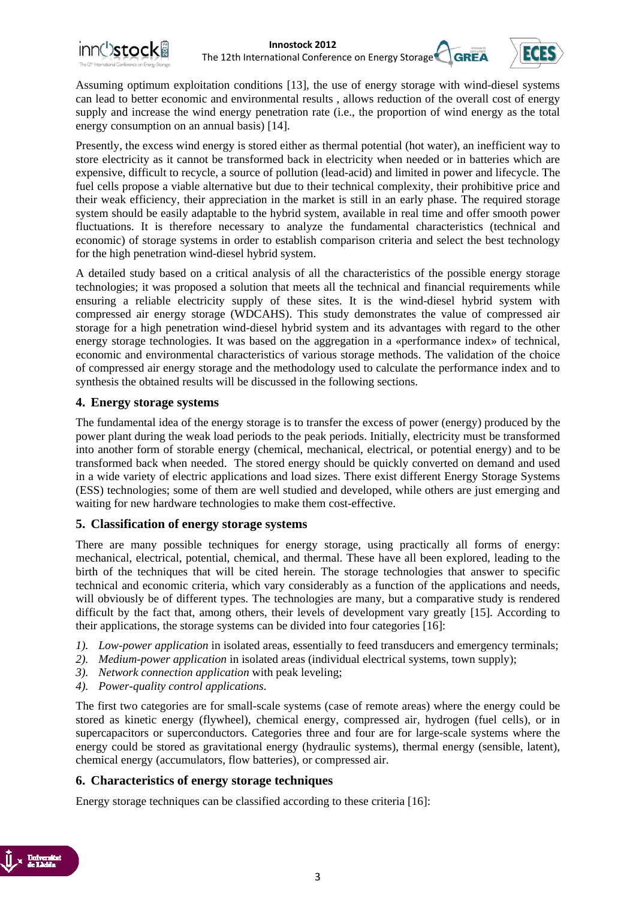

Assuming optimum exploitation conditions [13], the use of energy storage with wind-diesel systems can lead to better economic and environmental results , allows reduction of the overall cost of energy supply and increase the wind energy penetration rate (i.e., the proportion of wind energy as the total energy consumption on an annual basis) [14].

Presently, the excess wind energy is stored either as thermal potential (hot water), an inefficient way to store electricity as it cannot be transformed back in electricity when needed or in batteries which are expensive, difficult to recycle, a source of pollution (lead-acid) and limited in power and lifecycle. The fuel cells propose a viable alternative but due to their technical complexity, their prohibitive price and their weak efficiency, their appreciation in the market is still in an early phase. The required storage system should be easily adaptable to the hybrid system, available in real time and offer smooth power fluctuations. It is therefore necessary to analyze the fundamental characteristics (technical and economic) of storage systems in order to establish comparison criteria and select the best technology for the high penetration wind-diesel hybrid system.

A detailed study based on a critical analysis of all the characteristics of the possible energy storage technologies; it was proposed a solution that meets all the technical and financial requirements while ensuring a reliable electricity supply of these sites. It is the wind-diesel hybrid system with compressed air energy storage (WDCAHS). This study demonstrates the value of compressed air storage for a high penetration wind-diesel hybrid system and its advantages with regard to the other energy storage technologies. It was based on the aggregation in a «performance index» of technical, economic and environmental characteristics of various storage methods. The validation of the choice of compressed air energy storage and the methodology used to calculate the performance index and to synthesis the obtained results will be discussed in the following sections.

#### **4. Energy storage systems**

The fundamental idea of the energy storage is to transfer the excess of power (energy) produced by the power plant during the weak load periods to the peak periods. Initially, electricity must be transformed into another form of storable energy (chemical, mechanical, electrical, or potential energy) and to be transformed back when needed. The stored energy should be quickly converted on demand and used in a wide variety of electric applications and load sizes. There exist different Energy Storage Systems (ESS) technologies; some of them are well studied and developed, while others are just emerging and waiting for new hardware technologies to make them cost-effective.

#### **5. Classification of energy storage systems**

There are many possible techniques for energy storage, using practically all forms of energy: mechanical, electrical, potential, chemical, and thermal. These have all been explored, leading to the birth of the techniques that will be cited herein. The storage technologies that answer to specific technical and economic criteria, which vary considerably as a function of the applications and needs, will obviously be of different types. The technologies are many, but a comparative study is rendered difficult by the fact that, among others, their levels of development vary greatly [15]. According to their applications, the storage systems can be divided into four categories [16]:

- *1). Low-power application* in isolated areas, essentially to feed transducers and emergency terminals;
- *2). Medium-power application* in isolated areas (individual electrical systems, town supply);
- *3). Network connection application* with peak leveling;
- *4). Power-quality control applications*.

The first two categories are for small-scale systems (case of remote areas) where the energy could be stored as kinetic energy (flywheel), chemical energy, compressed air, hydrogen (fuel cells), or in supercapacitors or superconductors. Categories three and four are for large-scale systems where the energy could be stored as gravitational energy (hydraulic systems), thermal energy (sensible, latent), chemical energy (accumulators, flow batteries), or compressed air.

### **6. Characteristics of energy storage techniques**

Energy storage techniques can be classified according to these criteria [16]:

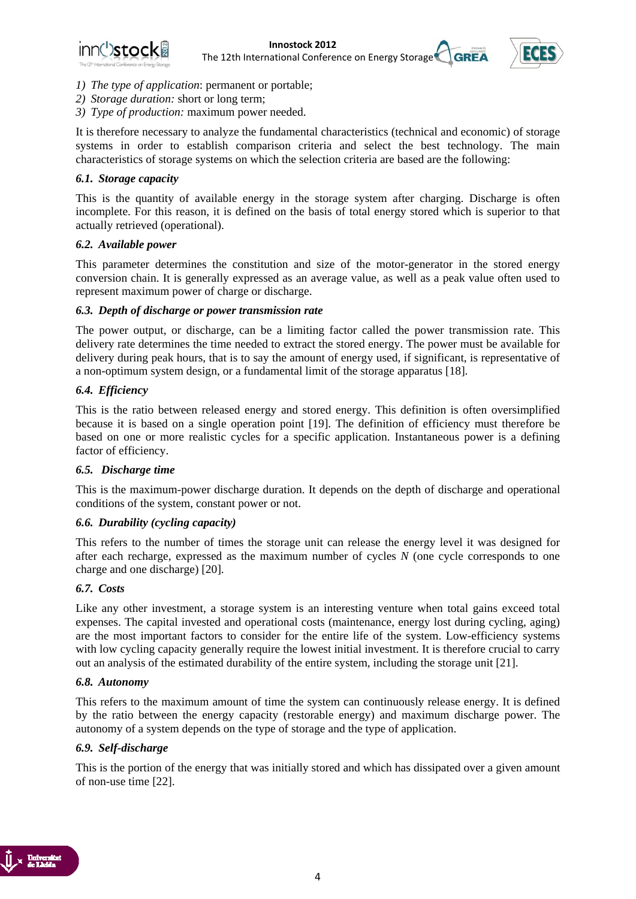



- *1) The type of application*: permanent or portable;
- *2) Storage duration:* short or long term;
- *3) Type of production:* maximum power needed.

It is therefore necessary to analyze the fundamental characteristics (technical and economic) of storage systems in order to establish comparison criteria and select the best technology. The main characteristics of storage systems on which the selection criteria are based are the following:

#### *6.1. Storage capacity*

This is the quantity of available energy in the storage system after charging. Discharge is often incomplete. For this reason, it is defined on the basis of total energy stored which is superior to that actually retrieved (operational).

#### *6.2. Available power*

This parameter determines the constitution and size of the motor-generator in the stored energy conversion chain. It is generally expressed as an average value, as well as a peak value often used to represent maximum power of charge or discharge.

#### *6.3. Depth of discharge or power transmission rate*

The power output, or discharge, can be a limiting factor called the power transmission rate. This delivery rate determines the time needed to extract the stored energy. The power must be available for delivery during peak hours, that is to say the amount of energy used, if significant, is representative of a non-optimum system design, or a fundamental limit of the storage apparatus [18].

#### *6.4. Efficiency*

This is the ratio between released energy and stored energy. This definition is often oversimplified because it is based on a single operation point [19]. The definition of efficiency must therefore be based on one or more realistic cycles for a specific application. Instantaneous power is a defining factor of efficiency.

#### *6.5. Discharge time*

This is the maximum-power discharge duration. It depends on the depth of discharge and operational conditions of the system, constant power or not.

#### *6.6. Durability (cycling capacity)*

This refers to the number of times the storage unit can release the energy level it was designed for after each recharge, expressed as the maximum number of cycles *N* (one cycle corresponds to one charge and one discharge) [20].

#### *6.7. Costs*

Like any other investment, a storage system is an interesting venture when total gains exceed total expenses. The capital invested and operational costs (maintenance, energy lost during cycling, aging) are the most important factors to consider for the entire life of the system. Low-efficiency systems with low cycling capacity generally require the lowest initial investment. It is therefore crucial to carry out an analysis of the estimated durability of the entire system, including the storage unit [21].

#### *6.8. Autonomy*

This refers to the maximum amount of time the system can continuously release energy. It is defined by the ratio between the energy capacity (restorable energy) and maximum discharge power. The autonomy of a system depends on the type of storage and the type of application.

#### *6.9. Self-discharge*

This is the portion of the energy that was initially stored and which has dissipated over a given amount of non-use time [22].

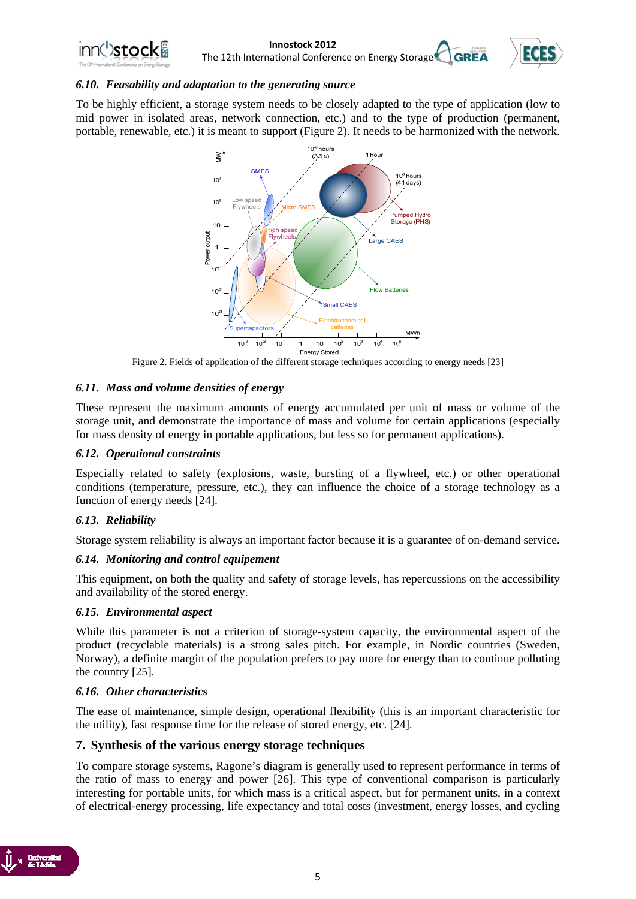

**Innostock 2012**<br> **Instigral Conference on Energy Storage CGREA** The 12th International Conference on Energy Storage<sup>®</sup>



#### *6.10. Feasability and adaptation to the generating source*

To be highly efficient, a storage system needs to be closely adapted to the type of application (low to mid power in isolated areas, network connection, etc.) and to the type of production (permanent, portable, renewable, etc.) it is meant to support (Figure 2). It needs to be harmonized with the network.



Figure 2. Fields of application of the different storage techniques according to energy needs [23]

#### *6.11. Mass and volume densities of energy*

These represent the maximum amounts of energy accumulated per unit of mass or volume of the storage unit, and demonstrate the importance of mass and volume for certain applications (especially for mass density of energy in portable applications, but less so for permanent applications).

#### *6.12. Operational constraints*

Especially related to safety (explosions, waste, bursting of a flywheel, etc.) or other operational conditions (temperature, pressure, etc.), they can influence the choice of a storage technology as a function of energy needs [24].

#### *6.13. Reliability*

Storage system reliability is always an important factor because it is a guarantee of on-demand service.

#### *6.14. Monitoring and control equipement*

This equipment, on both the quality and safety of storage levels, has repercussions on the accessibility and availability of the stored energy.

#### *6.15. Environmental aspect*

While this parameter is not a criterion of storage-system capacity, the environmental aspect of the product (recyclable materials) is a strong sales pitch. For example, in Nordic countries (Sweden, Norway), a definite margin of the population prefers to pay more for energy than to continue polluting the country [25].

#### *6.16. Other characteristics*

The ease of maintenance, simple design, operational flexibility (this is an important characteristic for the utility), fast response time for the release of stored energy, etc. [24].

#### **7. Synthesis of the various energy storage techniques**

To compare storage systems, Ragone's diagram is generally used to represent performance in terms of the ratio of mass to energy and power [26]. This type of conventional comparison is particularly interesting for portable units, for which mass is a critical aspect, but for permanent units, in a context of electrical-energy processing, life expectancy and total costs (investment, energy losses, and cycling

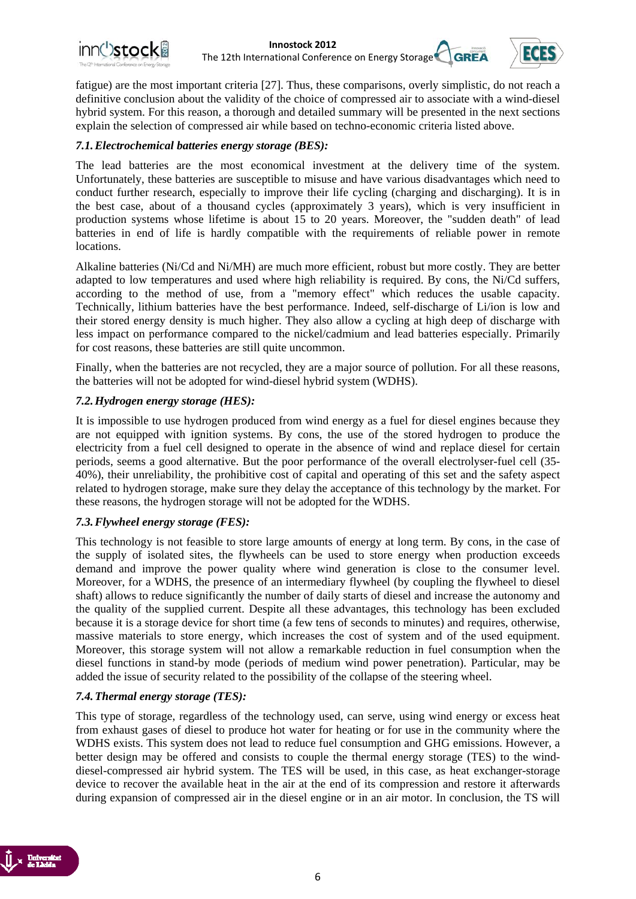



fatigue) are the most important criteria [27]. Thus, these comparisons, overly simplistic, do not reach a definitive conclusion about the validity of the choice of compressed air to associate with a wind-diesel hybrid system. For this reason, a thorough and detailed summary will be presented in the next sections explain the selection of compressed air while based on techno-economic criteria listed above.

#### *7.1.Electrochemical batteries energy storage (BES):*

The lead batteries are the most economical investment at the delivery time of the system. Unfortunately, these batteries are susceptible to misuse and have various disadvantages which need to conduct further research, especially to improve their life cycling (charging and discharging). It is in the best case, about of a thousand cycles (approximately 3 years), which is very insufficient in production systems whose lifetime is about 15 to 20 years. Moreover, the "sudden death" of lead batteries in end of life is hardly compatible with the requirements of reliable power in remote locations.

Alkaline batteries (Ni/Cd and Ni/MH) are much more efficient, robust but more costly. They are better adapted to low temperatures and used where high reliability is required. By cons, the Ni/Cd suffers, according to the method of use, from a "memory effect" which reduces the usable capacity. Technically, lithium batteries have the best performance. Indeed, self-discharge of Li/ion is low and their stored energy density is much higher. They also allow a cycling at high deep of discharge with less impact on performance compared to the nickel/cadmium and lead batteries especially. Primarily for cost reasons, these batteries are still quite uncommon.

Finally, when the batteries are not recycled, they are a major source of pollution. For all these reasons, the batteries will not be adopted for wind-diesel hybrid system (WDHS).

#### *7.2.Hydrogen energy storage (HES):*

It is impossible to use hydrogen produced from wind energy as a fuel for diesel engines because they are not equipped with ignition systems. By cons, the use of the stored hydrogen to produce the electricity from a fuel cell designed to operate in the absence of wind and replace diesel for certain periods, seems a good alternative. But the poor performance of the overall electrolyser-fuel cell (35- 40%), their unreliability, the prohibitive cost of capital and operating of this set and the safety aspect related to hydrogen storage, make sure they delay the acceptance of this technology by the market. For these reasons, the hydrogen storage will not be adopted for the WDHS.

#### *7.3.Flywheel energy storage (FES):*

This technology is not feasible to store large amounts of energy at long term. By cons, in the case of the supply of isolated sites, the flywheels can be used to store energy when production exceeds demand and improve the power quality where wind generation is close to the consumer level. Moreover, for a WDHS, the presence of an intermediary flywheel (by coupling the flywheel to diesel shaft) allows to reduce significantly the number of daily starts of diesel and increase the autonomy and the quality of the supplied current. Despite all these advantages, this technology has been excluded because it is a storage device for short time (a few tens of seconds to minutes) and requires, otherwise, massive materials to store energy, which increases the cost of system and of the used equipment. Moreover, this storage system will not allow a remarkable reduction in fuel consumption when the diesel functions in stand-by mode (periods of medium wind power penetration). Particular, may be added the issue of security related to the possibility of the collapse of the steering wheel.

#### *7.4.Thermal energy storage (TES):*

This type of storage, regardless of the technology used, can serve, using wind energy or excess heat from exhaust gases of diesel to produce hot water for heating or for use in the community where the WDHS exists. This system does not lead to reduce fuel consumption and GHG emissions. However, a better design may be offered and consists to couple the thermal energy storage (TES) to the winddiesel-compressed air hybrid system. The TES will be used, in this case, as heat exchanger-storage device to recover the available heat in the air at the end of its compression and restore it afterwards during expansion of compressed air in the diesel engine or in an air motor. In conclusion, the TS will

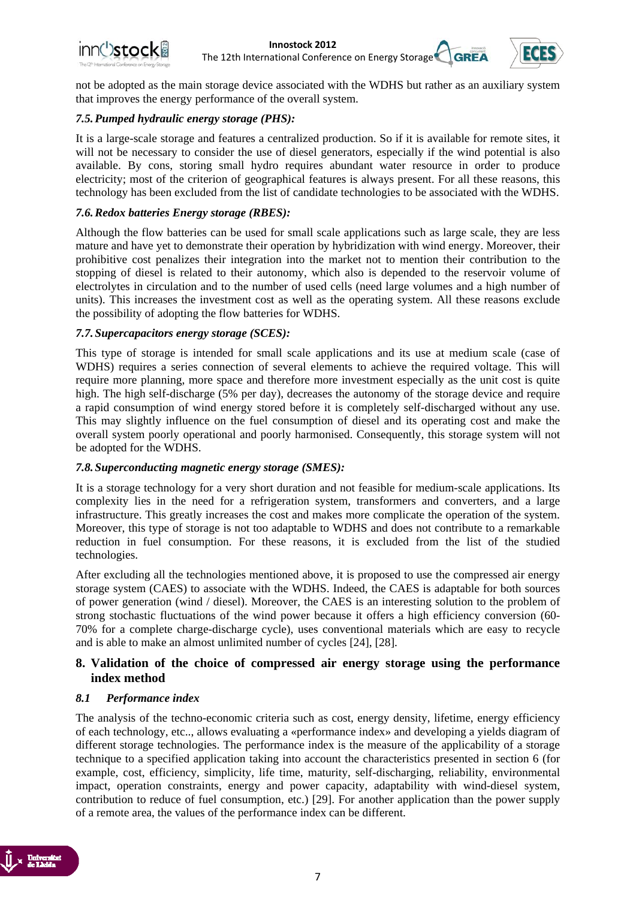

not be adopted as the main storage device associated with the WDHS but rather as an auxiliary system that improves the energy performance of the overall system.

#### *7.5.Pumped hydraulic energy storage (PHS):*

It is a large-scale storage and features a centralized production. So if it is available for remote sites, it will not be necessary to consider the use of diesel generators, especially if the wind potential is also available. By cons, storing small hydro requires abundant water resource in order to produce electricity; most of the criterion of geographical features is always present. For all these reasons, this technology has been excluded from the list of candidate technologies to be associated with the WDHS.

#### *7.6.Redox batteries Energy storage (RBES):*

Although the flow batteries can be used for small scale applications such as large scale, they are less mature and have yet to demonstrate their operation by hybridization with wind energy. Moreover, their prohibitive cost penalizes their integration into the market not to mention their contribution to the stopping of diesel is related to their autonomy, which also is depended to the reservoir volume of electrolytes in circulation and to the number of used cells (need large volumes and a high number of units). This increases the investment cost as well as the operating system. All these reasons exclude the possibility of adopting the flow batteries for WDHS.

#### *7.7.Supercapacitors energy storage (SCES):*

This type of storage is intended for small scale applications and its use at medium scale (case of WDHS) requires a series connection of several elements to achieve the required voltage. This will require more planning, more space and therefore more investment especially as the unit cost is quite high. The high self-discharge (5% per day), decreases the autonomy of the storage device and require a rapid consumption of wind energy stored before it is completely self-discharged without any use. This may slightly influence on the fuel consumption of diesel and its operating cost and make the overall system poorly operational and poorly harmonised. Consequently, this storage system will not be adopted for the WDHS.

#### *7.8.Superconducting magnetic energy storage (SMES):*

It is a storage technology for a very short duration and not feasible for medium-scale applications. Its complexity lies in the need for a refrigeration system, transformers and converters, and a large infrastructure. This greatly increases the cost and makes more complicate the operation of the system. Moreover, this type of storage is not too adaptable to WDHS and does not contribute to a remarkable reduction in fuel consumption. For these reasons, it is excluded from the list of the studied technologies.

After excluding all the technologies mentioned above, it is proposed to use the compressed air energy storage system (CAES) to associate with the WDHS. Indeed, the CAES is adaptable for both sources of power generation (wind / diesel). Moreover, the CAES is an interesting solution to the problem of strong stochastic fluctuations of the wind power because it offers a high efficiency conversion (60- 70% for a complete charge-discharge cycle), uses conventional materials which are easy to recycle and is able to make an almost unlimited number of cycles [24], [28].

#### **8. Validation of the choice of compressed air energy storage using the performance index method**

#### *8.1 Performance index*

The analysis of the techno-economic criteria such as cost, energy density, lifetime, energy efficiency of each technology, etc.., allows evaluating a «performance index» and developing a yields diagram of different storage technologies. The performance index is the measure of the applicability of a storage technique to a specified application taking into account the characteristics presented in section 6 (for example, cost, efficiency, simplicity, life time, maturity, self-discharging, reliability, environmental impact, operation constraints, energy and power capacity, adaptability with wind-diesel system, contribution to reduce of fuel consumption, etc.) [29]. For another application than the power supply of a remote area, the values of the performance index can be different.

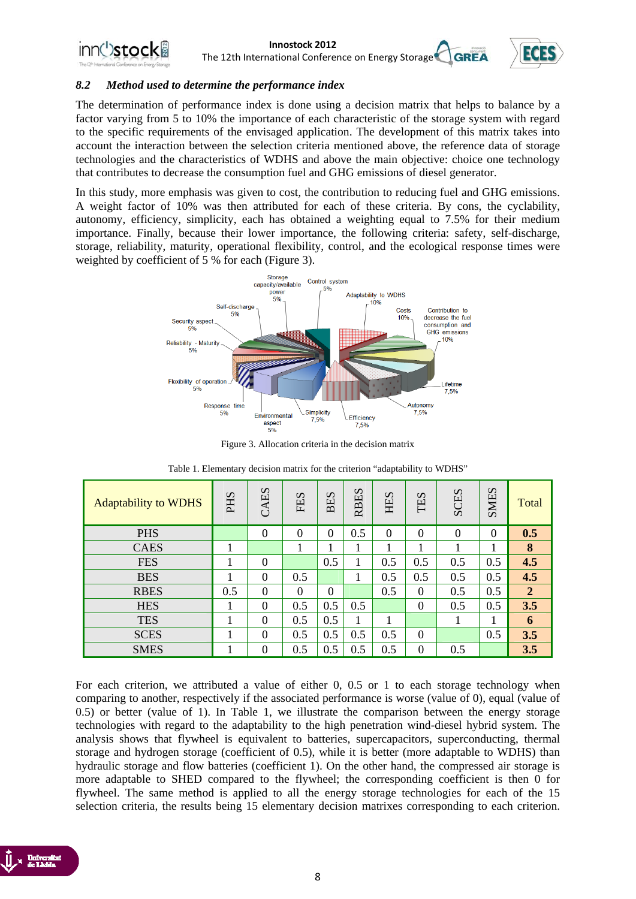

# **Innostock 2012**<br> **Instigral Conference on Energy Storage CGREA**



The 12th International Conference on Energy Storage<sup>®</sup>

#### *8.2 Method used to determine the performance index*

The determination of performance index is done using a decision matrix that helps to balance by a factor varying from 5 to 10% the importance of each characteristic of the storage system with regard to the specific requirements of the envisaged application. The development of this matrix takes into account the interaction between the selection criteria mentioned above, the reference data of storage technologies and the characteristics of WDHS and above the main objective: choice one technology that contributes to decrease the consumption fuel and GHG emissions of diesel generator.

In this study, more emphasis was given to cost, the contribution to reducing fuel and GHG emissions. A weight factor of 10% was then attributed for each of these criteria. By cons, the cyclability, autonomy, efficiency, simplicity, each has obtained a weighting equal to 7.5% for their medium importance. Finally, because their lower importance, the following criteria: safety, self-discharge, storage, reliability, maturity, operational flexibility, control, and the ecological response times were weighted by coefficient of 5 % for each (Figure 3).



Figure 3. Allocation criteria in the decision matrix

| <b>Adaptability to WDHS</b> | PHS | CAES           | FES              | $\mathcal{D}$<br>凵<br>$\overline{\mathbf{c}}$ | <b>RBES</b> | HES      | TES              | <b>SCES</b> | <b>SMIES</b> | Total          |
|-----------------------------|-----|----------------|------------------|-----------------------------------------------|-------------|----------|------------------|-------------|--------------|----------------|
| <b>PHS</b>                  |     | $\overline{0}$ | $\boldsymbol{0}$ | $\Omega$                                      | 0.5         | $\theta$ | $\theta$         | $\theta$    | $\theta$     | 0.5            |
| <b>CAES</b>                 |     |                |                  |                                               |             |          |                  | 1           |              | 8              |
| <b>FES</b>                  |     | $\theta$       |                  | 0.5                                           |             | 0.5      | 0.5              | 0.5         | 0.5          | 4.5            |
| <b>BES</b>                  |     | $\Omega$       | 0.5              |                                               |             | 0.5      | 0.5              | 0.5         | 0.5          | 4.5            |
| <b>RBES</b>                 | 0.5 | $\Omega$       | $\theta$         | $\Omega$                                      |             | 0.5      | $\theta$         | 0.5         | 0.5          | $\overline{2}$ |
| <b>HES</b>                  |     | $\Omega$       | 0.5              | 0.5                                           | 0.5         |          | $\theta$         | 0.5         | 0.5          | 3.5            |
| <b>TES</b>                  |     | $\Omega$       | 0.5              | 0.5                                           |             |          |                  |             |              | 6              |
| <b>SCES</b>                 |     | $\Omega$       | 0.5              | 0.5                                           | 0.5         | 0.5      | $\boldsymbol{0}$ |             | 0.5          | 3.5            |
| <b>SMES</b>                 |     | $\theta$       | 0.5              | 0.5                                           | 0.5         | 0.5      | $\boldsymbol{0}$ | 0.5         |              | 3.5            |

Table 1. Elementary decision matrix for the criterion "adaptability to WDHS"

For each criterion, we attributed a value of either 0, 0.5 or 1 to each storage technology when comparing to another, respectively if the associated performance is worse (value of 0), equal (value of 0.5) or better (value of 1). In Table 1, we illustrate the comparison between the energy storage technologies with regard to the adaptability to the high penetration wind-diesel hybrid system. The analysis shows that flywheel is equivalent to batteries, supercapacitors, superconducting, thermal storage and hydrogen storage (coefficient of 0.5), while it is better (more adaptable to WDHS) than hydraulic storage and flow batteries (coefficient 1). On the other hand, the compressed air storage is more adaptable to SHED compared to the flywheel; the corresponding coefficient is then 0 for flywheel. The same method is applied to all the energy storage technologies for each of the 15 selection criteria, the results being 15 elementary decision matrixes corresponding to each criterion.

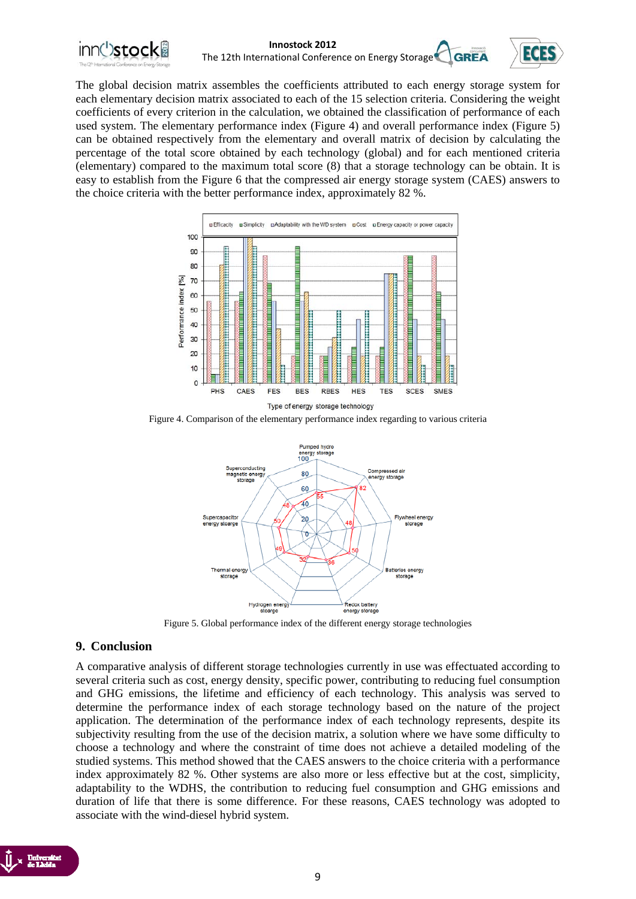



The global decision matrix assembles the coefficients attributed to each energy storage system for each elementary decision matrix associated to each of the 15 selection criteria. Considering the weight coefficients of every criterion in the calculation, we obtained the classification of performance of each used system. The elementary performance index (Figure 4) and overall performance index (Figure 5) can be obtained respectively from the elementary and overall matrix of decision by calculating the percentage of the total score obtained by each technology (global) and for each mentioned criteria (elementary) compared to the maximum total score (8) that a storage technology can be obtain. It is easy to establish from the Figure 6 that the compressed air energy storage system (CAES) answers to the choice criteria with the better performance index, approximately 82 %.



Figure 4. Comparison of the elementary performance index regarding to various criteria



Figure 5. Global performance index of the different energy storage technologies

#### **9. Conclusion**

A comparative analysis of different storage technologies currently in use was effectuated according to several criteria such as cost, energy density, specific power, contributing to reducing fuel consumption and GHG emissions, the lifetime and efficiency of each technology. This analysis was served to determine the performance index of each storage technology based on the nature of the project application. The determination of the performance index of each technology represents, despite its subjectivity resulting from the use of the decision matrix, a solution where we have some difficulty to choose a technology and where the constraint of time does not achieve a detailed modeling of the studied systems. This method showed that the CAES answers to the choice criteria with a performance index approximately 82 %. Other systems are also more or less effective but at the cost, simplicity, adaptability to the WDHS, the contribution to reducing fuel consumption and GHG emissions and duration of life that there is some difference. For these reasons, CAES technology was adopted to associate with the wind-diesel hybrid system.